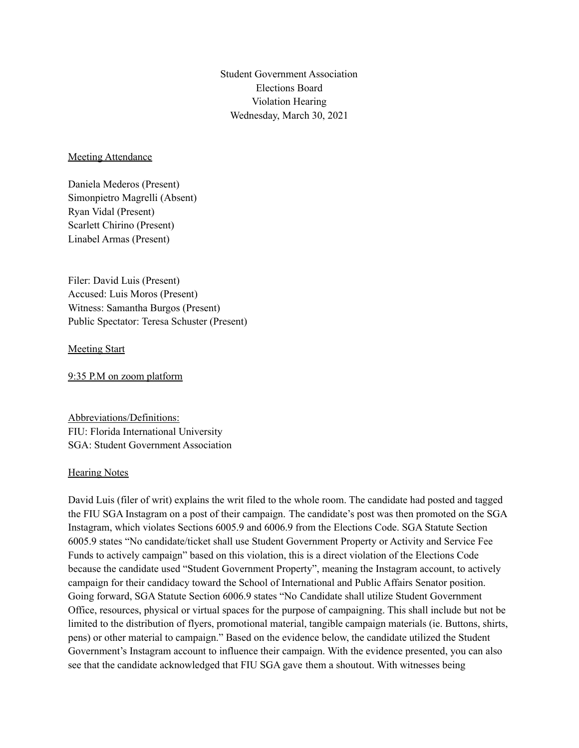Student Government Association Elections Board Violation Hearing Wednesday, March 30, 2021

## Meeting Attendance

Daniela Mederos (Present) Simonpietro Magrelli (Absent) Ryan Vidal (Present) Scarlett Chirino (Present) Linabel Armas (Present)

Filer: David Luis (Present) Accused: Luis Moros (Present) Witness: Samantha Burgos (Present) Public Spectator: Teresa Schuster (Present)

## Meeting Start

9:35 P.M on zoom platform

Abbreviations/Definitions: FIU: Florida International University SGA: Student Government Association

## **Hearing Notes**

David Luis (filer of writ) explains the writ filed to the whole room. The candidate had posted and tagged the FIU SGA Instagram on a post of their campaign. The candidate's post was then promoted on the SGA Instagram, which violates Sections 6005.9 and 6006.9 from the Elections Code. SGA Statute Section 6005.9 states "No candidate/ticket shall use Student Government Property or Activity and Service Fee Funds to actively campaign" based on this violation, this is a direct violation of the Elections Code because the candidate used "Student Government Property", meaning the Instagram account, to actively campaign for their candidacy toward the School of International and Public Affairs Senator position. Going forward, SGA Statute Section 6006.9 states "No Candidate shall utilize Student Government Office, resources, physical or virtual spaces for the purpose of campaigning. This shall include but not be limited to the distribution of flyers, promotional material, tangible campaign materials (ie. Buttons, shirts, pens) or other material to campaign." Based on the evidence below, the candidate utilized the Student Government's Instagram account to influence their campaign. With the evidence presented, you can also see that the candidate acknowledged that FIU SGA gave them a shoutout. With witnesses being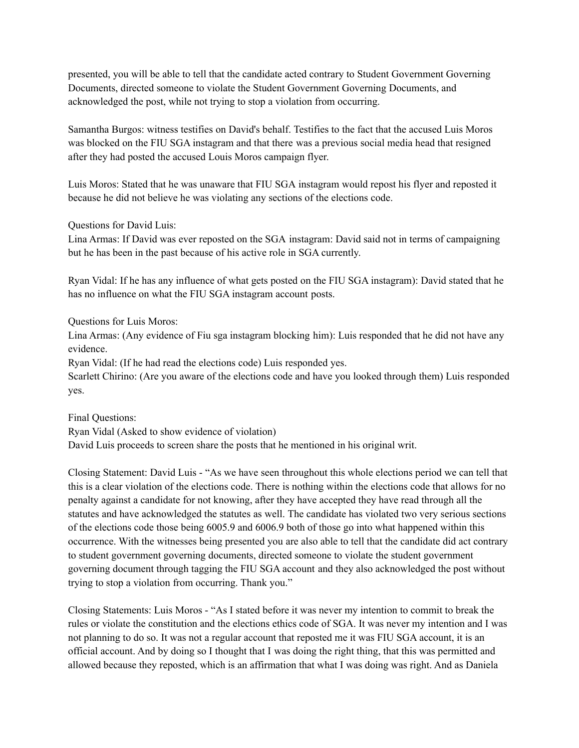presented, you will be able to tell that the candidate acted contrary to Student Government Governing Documents, directed someone to violate the Student Government Governing Documents, and acknowledged the post, while not trying to stop a violation from occurring.

Samantha Burgos: witness testifies on David's behalf. Testifies to the fact that the accused Luis Moros was blocked on the FIU SGA instagram and that there was a previous social media head that resigned after they had posted the accused Louis Moros campaign flyer.

Luis Moros: Stated that he was unaware that FIU SGA instagram would repost his flyer and reposted it because he did not believe he was violating any sections of the elections code.

Questions for David Luis:

Lina Armas: If David was ever reposted on the SGA instagram: David said not in terms of campaigning but he has been in the past because of his active role in SGA currently.

Ryan Vidal: If he has any influence of what gets posted on the FIU SGA instagram): David stated that he has no influence on what the FIU SGA instagram account posts.

Questions for Luis Moros:

Lina Armas: (Any evidence of Fiu sga instagram blocking him): Luis responded that he did not have any evidence.

Ryan Vidal: (If he had read the elections code) Luis responded yes.

Scarlett Chirino: (Are you aware of the elections code and have you looked through them) Luis responded yes.

Final Questions: Ryan Vidal (Asked to show evidence of violation) David Luis proceeds to screen share the posts that he mentioned in his original writ.

Closing Statement: David Luis - "As we have seen throughout this whole elections period we can tell that this is a clear violation of the elections code. There is nothing within the elections code that allows for no penalty against a candidate for not knowing, after they have accepted they have read through all the statutes and have acknowledged the statutes as well. The candidate has violated two very serious sections of the elections code those being 6005.9 and 6006.9 both of those go into what happened within this occurrence. With the witnesses being presented you are also able to tell that the candidate did act contrary to student government governing documents, directed someone to violate the student government governing document through tagging the FIU SGA account and they also acknowledged the post without trying to stop a violation from occurring. Thank you."

Closing Statements: Luis Moros - "As I stated before it was never my intention to commit to break the rules or violate the constitution and the elections ethics code of SGA. It was never my intention and I was not planning to do so. It was not a regular account that reposted me it was FIU SGA account, it is an official account. And by doing so I thought that I was doing the right thing, that this was permitted and allowed because they reposted, which is an affirmation that what I was doing was right. And as Daniela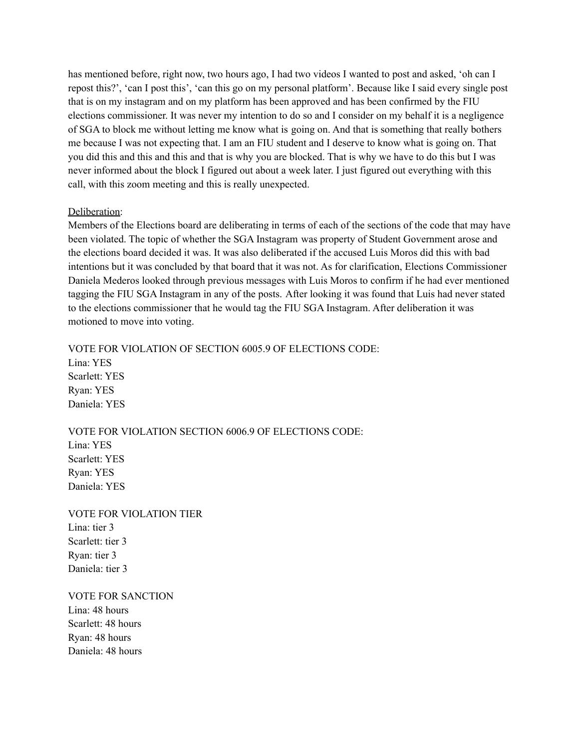has mentioned before, right now, two hours ago, I had two videos I wanted to post and asked, 'oh can I repost this?', 'can I post this', 'can this go on my personal platform'. Because like I said every single post that is on my instagram and on my platform has been approved and has been confirmed by the FIU elections commissioner. It was never my intention to do so and I consider on my behalf it is a negligence of SGA to block me without letting me know what is going on. And that is something that really bothers me because I was not expecting that. I am an FIU student and I deserve to know what is going on. That you did this and this and this and that is why you are blocked. That is why we have to do this but I was never informed about the block I figured out about a week later. I just figured out everything with this call, with this zoom meeting and this is really unexpected.

## Deliberation:

Members of the Elections board are deliberating in terms of each of the sections of the code that may have been violated. The topic of whether the SGA Instagram was property of Student Government arose and the elections board decided it was. It was also deliberated if the accused Luis Moros did this with bad intentions but it was concluded by that board that it was not. As for clarification, Elections Commissioner Daniela Mederos looked through previous messages with Luis Moros to confirm if he had ever mentioned tagging the FIU SGA Instagram in any of the posts. After looking it was found that Luis had never stated to the elections commissioner that he would tag the FIU SGA Instagram. After deliberation it was motioned to move into voting.

VOTE FOR VIOLATION OF SECTION 6005.9 OF ELECTIONS CODE: Lina: YES Scarlett: YES Ryan: YES Daniela: YES

VOTE FOR VIOLATION SECTION 6006.9 OF ELECTIONS CODE:

Lina: YES Scarlett: YES Ryan: YES Daniela: YES

VOTE FOR VIOLATION TIER Lina: tier 3 Scarlett: tier 3 Ryan: tier 3 Daniela: tier 3

VOTE FOR SANCTION

Lina: 48 hours Scarlett: 48 hours Ryan: 48 hours Daniela: 48 hours